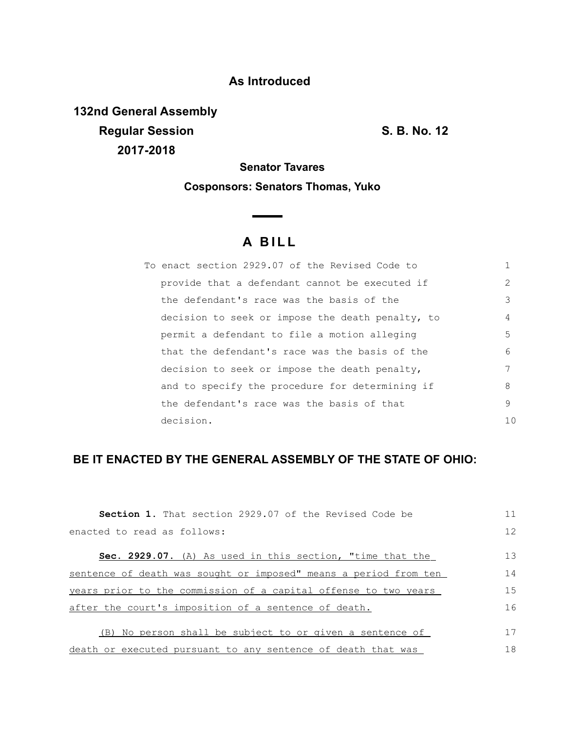## **As Introduced**

**132nd General Assembly Regular Session S. B. No. 12 2017-2018**

**Senator Tavares**

### **Cosponsors: Senators Thomas, Yuko**

# **A B I L L**

**Contract Contract Contract** 

| To enact section 2929.07 of the Revised Code to  |     |
|--------------------------------------------------|-----|
| provide that a defendant cannot be executed if   | 2   |
| the defendant's race was the basis of the        | 3   |
| decision to seek or impose the death penalty, to | 4   |
| permit a defendant to file a motion alleging     | 5.  |
| that the defendant's race was the basis of the   | 6   |
| decision to seek or impose the death penalty,    | 7   |
| and to specify the procedure for determining if  | 8   |
| the defendant's race was the basis of that       | 9   |
| decision.                                        | 1 N |

## **BE IT ENACTED BY THE GENERAL ASSEMBLY OF THE STATE OF OHIO:**

| <b>Section 1.</b> That section 2929.07 of the Revised Code be    | 11 |
|------------------------------------------------------------------|----|
| enacted to read as follows:                                      | 12 |
| <b>Sec. 2929.07.</b> (A) As used in this section, "time that the | 13 |
| sentence of death was sought or imposed" means a period from ten | 14 |
| years prior to the commission of a capital offense to two years  | 15 |
| after the court's imposition of a sentence of death.             | 16 |
| (B) No person shall be subject to or given a sentence of         | 17 |
| death or executed pursuant to any sentence of death that was     | 18 |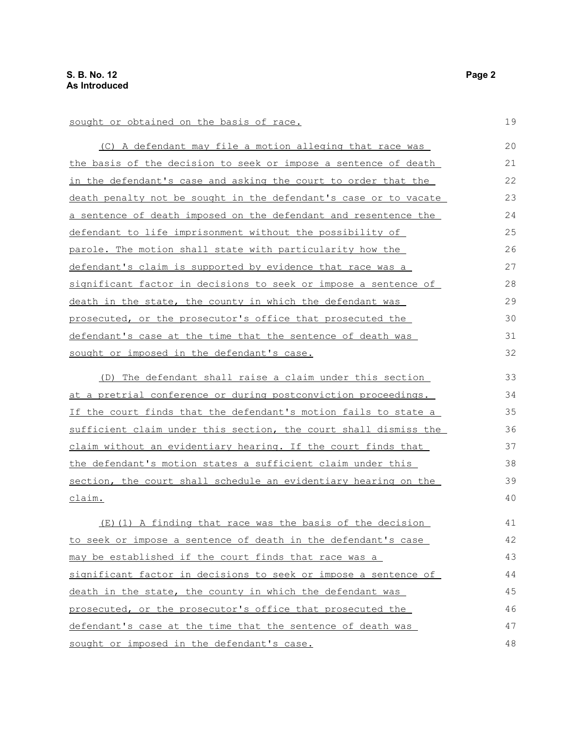sought or obtained on the basis of race. (C) A defendant may file a motion alleging that race was the basis of the decision to seek or impose a sentence of death in the defendant's case and asking the court to order that the death penalty not be sought in the defendant's case or to vacate a sentence of death imposed on the defendant and resentence the defendant to life imprisonment without the possibility of parole. The motion shall state with particularity how the defendant's claim is supported by evidence that race was a

significant factor in decisions to seek or impose a sentence of death in the state, the county in which the defendant was prosecuted, or the prosecutor's office that prosecuted the defendant's case at the time that the sentence of death was

sought or imposed in the defendant's case.

(D) The defendant shall raise a claim under this section at a pretrial conference or during postconviction proceedings. If the court finds that the defendant's motion fails to state a sufficient claim under this section, the court shall dismiss the claim without an evidentiary hearing. If the court finds that the defendant's motion states a sufficient claim under this section, the court shall schedule an evidentiary hearing on the claim.

(E)(1) A finding that race was the basis of the decision to seek or impose a sentence of death in the defendant's case may be established if the court finds that race was a significant factor in decisions to seek or impose a sentence of death in the state, the county in which the defendant was prosecuted, or the prosecutor's office that prosecuted the defendant's case at the time that the sentence of death was sought or imposed in the defendant's case. 41 42 43 44 45 46 47 48

19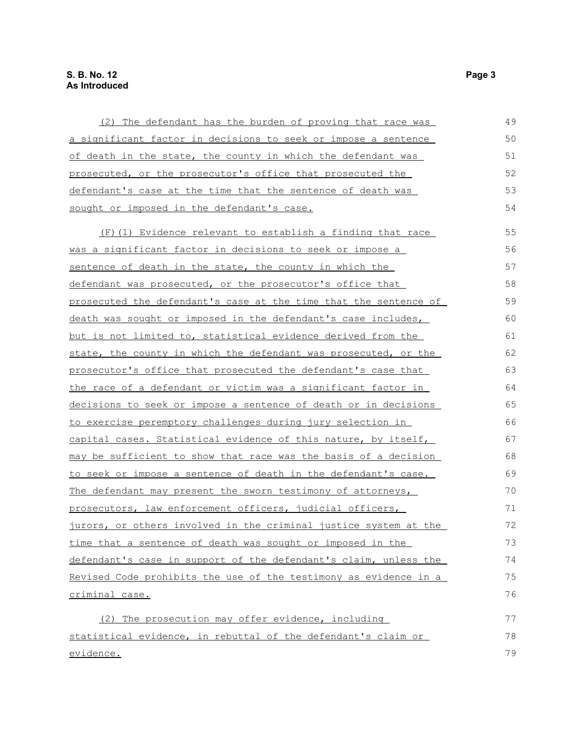#### **S. B. No. 12 Page 3 As Introduced**

| (2) The defendant has the burden of proving that race was            | 49 |
|----------------------------------------------------------------------|----|
| a significant factor in decisions to seek or impose a sentence       | 50 |
| of death in the state, the county in which the defendant was         | 51 |
| prosecuted, or the prosecutor's office that prosecuted the           | 52 |
| defendant's case at the time that the sentence of death was          | 53 |
| sought or imposed in the defendant's case.                           | 54 |
| (F)(1) Evidence relevant to establish a finding that race            | 55 |
| <u>was a significant factor in decisions to seek or impose a</u>     | 56 |
| <u>sentence of death in the state, the county in which the</u>       | 57 |
| defendant was prosecuted, or the prosecutor's office that            | 58 |
| prosecuted the defendant's case at the time that the sentence of     | 59 |
| death was sought or imposed in the defendant's case includes,        | 60 |
| <u>but is not limited to, statistical evidence derived from the </u> | 61 |
| state, the county in which the defendant was prosecuted, or the      | 62 |
| prosecutor's office that prosecuted the defendant's case that        | 63 |
| the race of a defendant or victim was a significant factor in        | 64 |
| decisions to seek or impose a sentence of death or in decisions      | 65 |
| to exercise peremptory challenges during jury selection in           | 66 |
| capital cases. Statistical evidence of this nature, by itself,       | 67 |
| may be sufficient to show that race was the basis of a decision      | 68 |
| to seek or impose a sentence of death in the defendant's case.       | 69 |
| The defendant may present the sworn testimony of attorneys,          | 70 |
| prosecutors, law enforcement officers, judicial officers,            | 71 |
| jurors, or others involved in the criminal justice system at the     | 72 |
| time that a sentence of death was sought or imposed in the           | 73 |
| defendant's case in support of the defendant's claim, unless the     | 74 |
| Revised Code prohibits the use of the testimony as evidence in a     | 75 |
| criminal case.                                                       | 76 |
| The prosecution may offer evidence, including<br>(2)                 | 77 |
| statistical evidence, in rebuttal of the defendant's claim or        | 78 |
| <u>evidence.</u>                                                     |    |